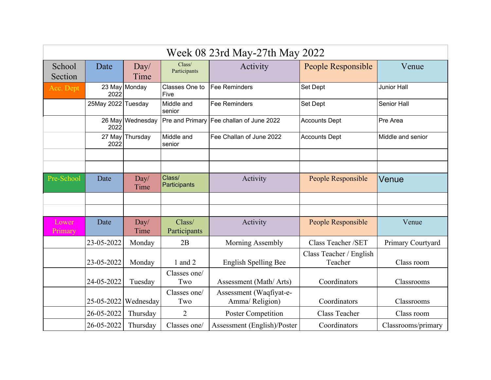| Week 08 23rd May-27th May 2022 |                        |                  |                        |                                            |                                    |                    |  |
|--------------------------------|------------------------|------------------|------------------------|--------------------------------------------|------------------------------------|--------------------|--|
| School<br>Section              | Date                   | Day/<br>Time     | Class/<br>Participants | Activity                                   | People Responsible                 | Venue              |  |
| Acc. Dept                      | 2022                   | 23 May Monday    | Classes One to<br>Five | Fee Reminders                              | <b>Set Dept</b>                    | <b>Junior Hall</b> |  |
|                                | 25May 2022 Tuesday     |                  | Middle and<br>senior   | <b>Fee Reminders</b>                       | <b>Set Dept</b>                    | Senior Hall        |  |
|                                | 2022                   | 26 May Wednesday | Pre and Primary        | Fee challan of June 2022                   | <b>Accounts Dept</b>               | Pre Area           |  |
|                                | 2022                   | 27 May Thursday  | Middle and<br>senior   | Fee Challan of June 2022                   | <b>Accounts Dept</b>               | Middle and senior  |  |
|                                |                        |                  |                        |                                            |                                    |                    |  |
| Pre-School                     | Date                   | Day/<br>Time     | Class/<br>Participants | Activity                                   | People Responsible                 | Venue              |  |
|                                |                        |                  |                        |                                            |                                    |                    |  |
| Lower<br>Primary               | Date                   | Day/<br>Time     | Class/<br>Participants | Activity                                   | People Responsible                 | Venue              |  |
|                                | 23-05-2022             | Monday           | 2B                     | Morning Assembly                           | Class Teacher /SET                 | Primary Courtyard  |  |
|                                | 23-05-2022             | Monday           | 1 and 2                | English Spelling Bee                       | Class Teacher / English<br>Teacher | Class room         |  |
|                                | 24-05-2022             | Tuesday          | Classes one/<br>Two    | Assessment (Math/Arts)                     | Coordinators                       | Classrooms         |  |
|                                | 25-05-2022   Wednesday |                  | Classes one/<br>Two    | Assessment (Waqfiyat-e-<br>Amma/ Religion) | Coordinators                       | Classrooms         |  |
|                                | 26-05-2022             | Thursday         | $\overline{2}$         | <b>Poster Competition</b>                  | Class Teacher                      | Class room         |  |
|                                | 26-05-2022             | Thursday         | Classes one/           | Assessment (English)/Poster                | Coordinators                       | Classrooms/primary |  |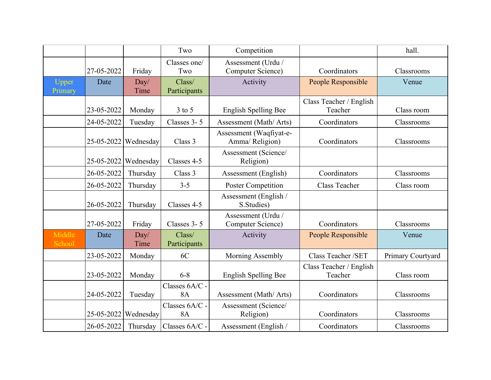|                         |                        |                        | Two                         | Competition                                |                                    | hall.             |
|-------------------------|------------------------|------------------------|-----------------------------|--------------------------------------------|------------------------------------|-------------------|
|                         | 27-05-2022             | Friday                 | Classes one/<br>Two         | Assessment (Urdu /<br>Computer Science)    | Coordinators                       | Classrooms        |
| <b>Upper</b><br>Primary | Date                   | Day/<br>Time           | Class/<br>Participants      | Activity                                   | People Responsible                 | Venue             |
|                         | 23-05-2022             | Monday                 | $3$ to $5$                  | English Spelling Bee                       | Class Teacher / English<br>Teacher | Class room        |
|                         | 24-05-2022             | Tuesday                | Classes 3-5                 | Assessment (Math/ Arts)                    | Coordinators                       | Classrooms        |
|                         |                        | $25-05-2022$ Wednesday | Class 3                     | Assessment (Waqfiyat-e-<br>Amma/ Religion) | Coordinators                       | Classrooms        |
|                         | 25-05-2022   Wednesday |                        | Classes 4-5                 | Assessment (Science/<br>Religion)          |                                    |                   |
|                         | 26-05-2022             | Thursday               | Class 3                     | Assessment (English)                       | Coordinators                       | Classrooms        |
|                         | 26-05-2022             | Thursday               | $3 - 5$                     | <b>Poster Competition</b>                  | Class Teacher                      | Class room        |
|                         | 26-05-2022             | Thursday               | Classes 4-5                 | Assessment (English /<br>S.Studies)        |                                    |                   |
|                         | 27-05-2022             | Friday                 | Classes 3-5                 | Assessment (Urdu /<br>Computer Science)    | Coordinators                       | Classrooms        |
| Middle<br>School        | Date                   | Day/<br>Time           | Class/<br>Participants      | Activity                                   | People Responsible                 | Venue             |
|                         | 23-05-2022             | Monday                 | 6C                          | Morning Assembly                           | Class Teacher /SET                 | Primary Courtyard |
|                         | 23-05-2022             | Monday                 | $6 - 8$                     | <b>English Spelling Bee</b>                | Class Teacher / English<br>Teacher | Class room        |
|                         | 24-05-2022             | Tuesday                | Classes 6A/C -<br><b>8A</b> | Assessment (Math/ Arts)                    | Coordinators                       | Classrooms        |
|                         |                        | $25-05-2022$ Wednesday | Classes 6A/C -<br><b>8A</b> | Assessment (Science/<br>Religion)          | Coordinators                       | Classrooms        |
|                         | 26-05-2022             | Thursday               | Classes 6A/C -              | Assessment (English /                      | Coordinators                       | Classrooms        |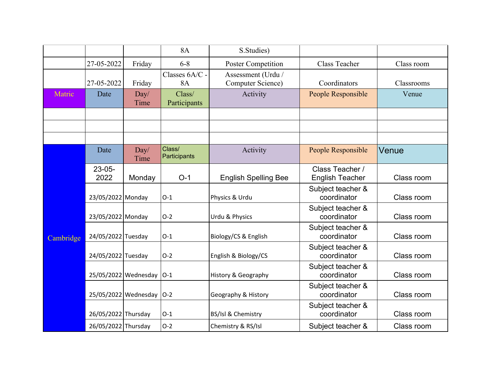|           |                      |                      | <b>8A</b>                   | S.Studies)                              |                                           |            |
|-----------|----------------------|----------------------|-----------------------------|-----------------------------------------|-------------------------------------------|------------|
|           | 27-05-2022           | Friday               | $6 - 8$                     | <b>Poster Competition</b>               | <b>Class Teacher</b>                      | Class room |
|           | 27-05-2022           | Friday               | Classes 6A/C -<br><b>8A</b> | Assessment (Urdu /<br>Computer Science) | Coordinators                              | Classrooms |
| Matric    | Date                 | Day/<br>Time         | Class/<br>Participants      | Activity                                | People Responsible                        | Venue      |
|           |                      |                      |                             |                                         |                                           |            |
|           |                      |                      |                             |                                         |                                           |            |
|           |                      |                      |                             |                                         |                                           |            |
|           | Date                 | Day/<br>Time         | Class/<br>Participants      | Activity                                | People Responsible                        | Venue      |
|           | $23 - 05 -$<br>2022  | Monday               | $O-1$                       | <b>English Spelling Bee</b>             | Class Teacher /<br><b>English Teacher</b> | Class room |
|           | 23/05/2022 Monday    |                      | $O-1$                       | Physics & Urdu                          | Subject teacher &<br>coordinator          | Class room |
|           | 23/05/2022 Monday    |                      | $O-2$                       | Urdu & Physics                          | Subject teacher &<br>coordinator          | Class room |
| Cambridge | 24/05/2022 Tuesday   |                      | $O-1$                       | Biology/CS & English                    | Subject teacher &<br>coordinator          | Class room |
|           | 24/05/2022 Tuesday   |                      | $O-2$                       | English & Biology/CS                    | Subject teacher &<br>coordinator          | Class room |
|           | 25/05/2022 Wednesday |                      | $ O-1 $                     | History & Geography                     | Subject teacher &<br>coordinator          | Class room |
|           |                      | 25/05/2022 Wednesday | $ O-2 $                     | Geography & History                     | Subject teacher &<br>coordinator          | Class room |
|           | 26/05/2022 Thursday  |                      | $O-1$                       | BS/Isl & Chemistry                      | Subject teacher &<br>coordinator          | Class room |
|           | 26/05/2022 Thursday  |                      | $O-2$                       | Chemistry & RS/Isl                      | Subject teacher &                         | Class room |